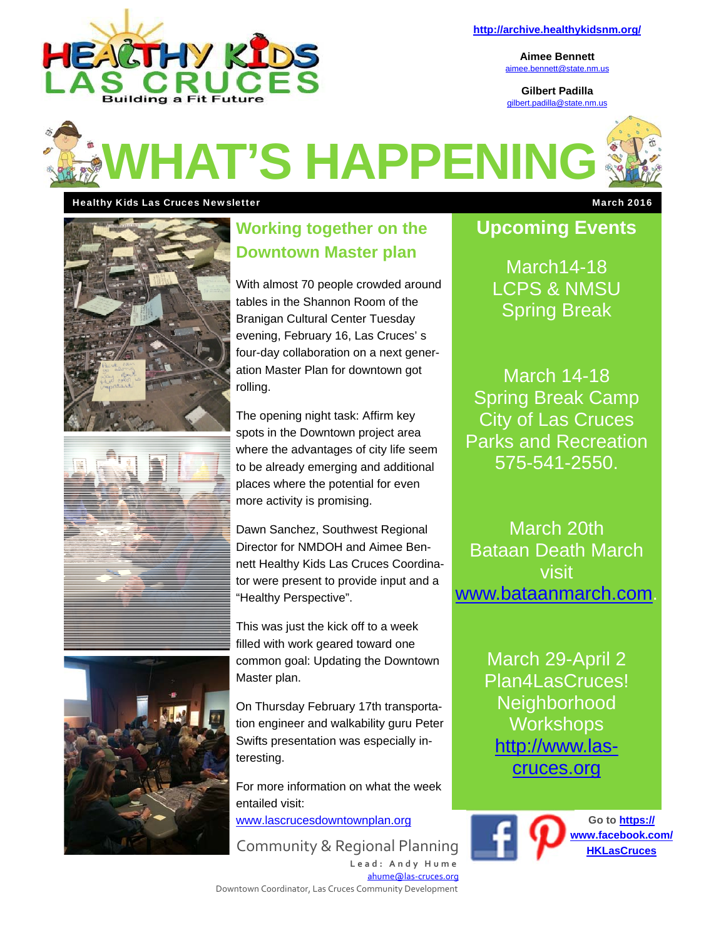

**http://archive.healthykidsnm.org/** 

**Aimee Bennett**  aimee.bennett@state.nm.us

**Gilbert Padilla**  gilbert.padilla@state.nm.us



#### Healthy Kids Las Cruces Newsletter March 2016 **March 2016** March 2016







# **Working together on the Downtown Master plan**

With almost 70 people crowded around tables in the Shannon Room of the Branigan Cultural Center Tuesday evening, February 16, Las Cruces' s four-day collaboration on a next generation Master Plan for downtown got rolling.

The opening night task: Affirm key spots in the Downtown project area where the advantages of city life seem to be already emerging and additional places where the potential for even more activity is promising.

Dawn Sanchez, Southwest Regional Director for NMDOH and Aimee Bennett Healthy Kids Las Cruces Coordinator were present to provide input and a "Healthy Perspective".

This was just the kick off to a week filled with work geared toward one common goal: Updating the Downtown Master plan.

On Thursday February 17th transportation engineer and walkability guru Peter Swifts presentation was especially interesting.

For more information on what the week entailed visit:

www.lascrucesdowntownplan.org

Community & Regional Planning **HKLASCRUCES** 

**Lead: Andy Hume**  ahume@las‐cruces.org Downtown Coordinator, Las Cruces Community Development

# **Upcoming Events**

March14-18 LCPS & NMSU Spring Break

March 14-18 Spring Break Camp City of Las Cruces Parks and Recreation 575-541-2550.

March 20th Bataan Death March visit www.bataanmarch.com.

> March 29-April 2 Plan4LasCruces! **Neighborhood Workshops** http://www.lascruces.org

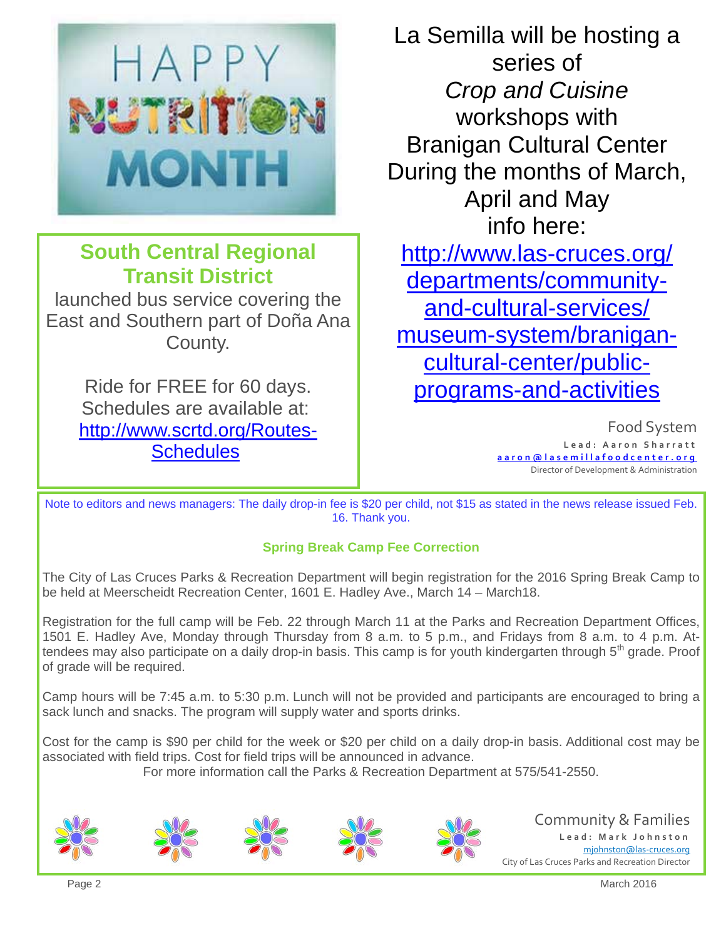

# **South Central Regional Transit District**

launched bus service covering the East and Southern part of Doña Ana County.

> Ride for FREE for 60 days. Schedules are available at: http://www.scrtd.org/Routes-**Schedules**

La Semilla will be hosting a series of *Crop and Cuisine*  workshops with Branigan Cultural Center During the months of March, April and May info here: http://www.las-cruces.org/ departments/communityand-cultural-services/ museum-system/branigancultural-center/publicprograms-and-activities

> Food System **Lead: Aaron Sharratt aaron@lasemillafoodcenter.org**  Director of Development & Administration

Note to editors and news managers: The daily drop-in fee is \$20 per child, not \$15 as stated in the news release issued Feb. 16. Thank you.

### **Spring Break Camp Fee Correction**

The City of Las Cruces Parks & Recreation Department will begin registration for the 2016 Spring Break Camp to be held at Meerscheidt Recreation Center, 1601 E. Hadley Ave., March 14 – March18.

Registration for the full camp will be Feb. 22 through March 11 at the Parks and Recreation Department Offices, 1501 E. Hadley Ave, Monday through Thursday from 8 a.m. to 5 p.m., and Fridays from 8 a.m. to 4 p.m. Attendees may also participate on a daily drop-in basis. This camp is for youth kindergarten through 5<sup>th</sup> grade. Proof of grade will be required.

Camp hours will be 7:45 a.m. to 5:30 p.m. Lunch will not be provided and participants are encouraged to bring a sack lunch and snacks. The program will supply water and sports drinks.

Cost for the camp is \$90 per child for the week or \$20 per child on a daily drop-in basis. Additional cost may be associated with field trips. Cost for field trips will be announced in advance.

For more information call the Parks & Recreation Department at 575/541-2550.









Community & Families **Lead: Mark Johnston**  mjohnston@las‐cruces.org City of Las Cruces Parks and Recreation Director